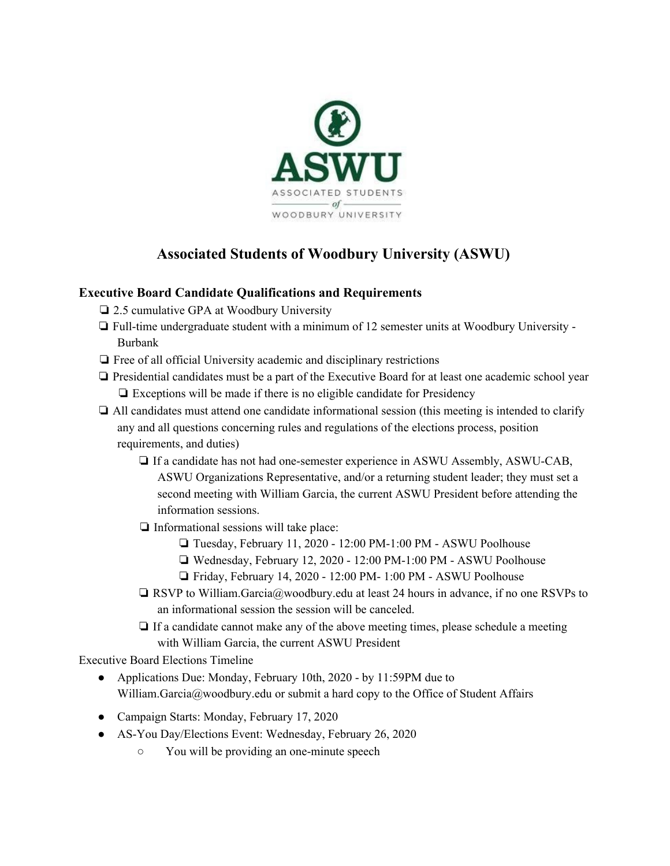

## **Associated Students of Woodbury University (ASWU)**

## **Executive Board Candidate Qualifications and Requirements**

- ❏ 2.5 cumulative GPA at Woodbury University
- ❏ Full-time undergraduate student with a minimum of 12 semester units at Woodbury University Burbank
- ❏ Free of all official University academic and disciplinary restrictions
- ❏ Presidential candidates must be a part of the Executive Board for at least one academic school year ❏ Exceptions will be made if there is no eligible candidate for Presidency
- ❏ All candidates must attend one candidate informational session (this meeting is intended to clarify any and all questions concerning rules and regulations of the elections process, position requirements, and duties)
	- ❏ If a candidate has not had one-semester experience in ASWU Assembly, ASWU-CAB, ASWU Organizations Representative, and/or a returning student leader; they must set a second meeting with William Garcia, the current ASWU President before attending the information sessions.
	- ❏ Informational sessions will take place:
		- ❏ Tuesday, February 11, 2020 12:00 PM-1:00 PM ASWU Poolhouse
		- ❏ Wednesday, February 12, 2020 12:00 PM-1:00 PM ASWU Poolhouse
		- ❏ Friday, February 14, 2020 12:00 PM- 1:00 PM ASWU Poolhouse
	- ❏ RSVP to William.Garcia@woodbury.edu at least 24 hours in advance, if no one RSVPs to an informational session the session will be canceled.
	- ❏ If a candidate cannot make any of the above meeting times, please schedule a meeting with William Garcia, the current ASWU President

Executive Board Elections Timeline

- Applications Due: Monday, February 10th, 2020 by 11:59PM due to William.Garcia@woodbury.edu or submit a hard copy to the Office of Student Affairs
- Campaign Starts: Monday, February 17, 2020
- AS-You Day/Elections Event: Wednesday, February 26, 2020
	- You will be providing an one-minute speech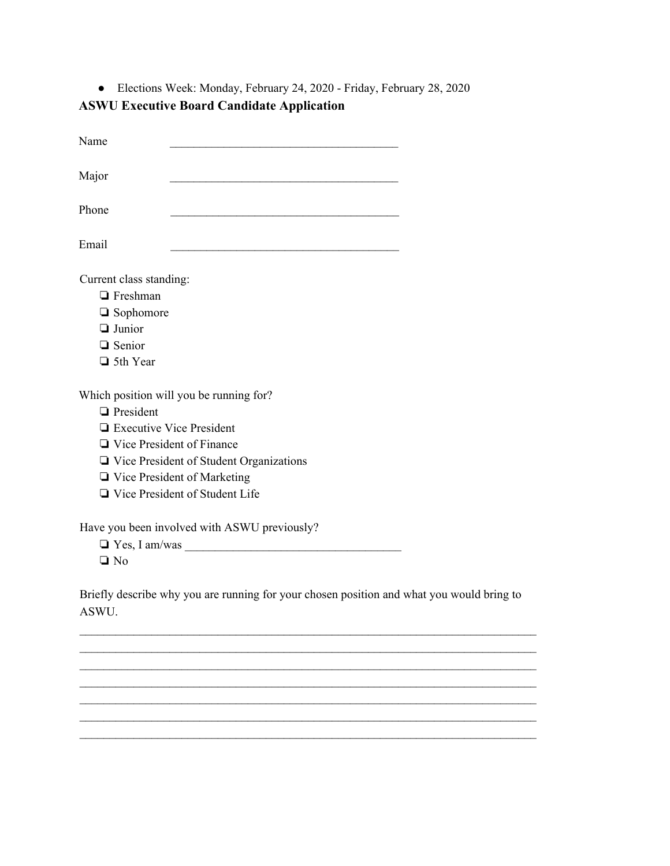● Elections Week: Monday, February 24, 2020 - Friday, February 28, 2020 **ASWU Executive Board Candidate Application**

| Name                                                                                                                                                                                                                                                           |  |
|----------------------------------------------------------------------------------------------------------------------------------------------------------------------------------------------------------------------------------------------------------------|--|
| Major                                                                                                                                                                                                                                                          |  |
| Phone                                                                                                                                                                                                                                                          |  |
| Email                                                                                                                                                                                                                                                          |  |
| Current class standing:<br>$\Box$ Freshman<br>$\Box$ Sophomore<br>$\Box$ Junior<br>$\Box$ Senior<br>$\Box$ 5th Year                                                                                                                                            |  |
| Which position will you be running for?<br>$\Box$ President<br>$\Box$ Executive Vice President<br>$\Box$ Vice President of Finance<br>$\Box$ Vice President of Student Organizations<br>$\Box$ Vice President of Marketing<br>□ Vice President of Student Life |  |
| Have you been involved with ASWU previously?<br>$\Box$ Yes, I am/was<br>$\Box$ No                                                                                                                                                                              |  |

Briefly describe why you are running for your chosen position and what you would bring to ASWU.

 $\mathcal{L}_\mathcal{L} = \{ \mathcal{L}_\mathcal{L} = \{ \mathcal{L}_\mathcal{L} = \{ \mathcal{L}_\mathcal{L} = \{ \mathcal{L}_\mathcal{L} = \{ \mathcal{L}_\mathcal{L} = \{ \mathcal{L}_\mathcal{L} = \{ \mathcal{L}_\mathcal{L} = \{ \mathcal{L}_\mathcal{L} = \{ \mathcal{L}_\mathcal{L} = \{ \mathcal{L}_\mathcal{L} = \{ \mathcal{L}_\mathcal{L} = \{ \mathcal{L}_\mathcal{L} = \{ \mathcal{L}_\mathcal{L} = \{ \mathcal{L}_\mathcal{$  $\mathcal{L}_\mathcal{L} = \{ \mathcal{L}_\mathcal{L} = \{ \mathcal{L}_\mathcal{L} = \{ \mathcal{L}_\mathcal{L} = \{ \mathcal{L}_\mathcal{L} = \{ \mathcal{L}_\mathcal{L} = \{ \mathcal{L}_\mathcal{L} = \{ \mathcal{L}_\mathcal{L} = \{ \mathcal{L}_\mathcal{L} = \{ \mathcal{L}_\mathcal{L} = \{ \mathcal{L}_\mathcal{L} = \{ \mathcal{L}_\mathcal{L} = \{ \mathcal{L}_\mathcal{L} = \{ \mathcal{L}_\mathcal{L} = \{ \mathcal{L}_\mathcal{$  $\mathcal{L}_\mathcal{L} = \{ \mathcal{L}_\mathcal{L} = \{ \mathcal{L}_\mathcal{L} = \{ \mathcal{L}_\mathcal{L} = \{ \mathcal{L}_\mathcal{L} = \{ \mathcal{L}_\mathcal{L} = \{ \mathcal{L}_\mathcal{L} = \{ \mathcal{L}_\mathcal{L} = \{ \mathcal{L}_\mathcal{L} = \{ \mathcal{L}_\mathcal{L} = \{ \mathcal{L}_\mathcal{L} = \{ \mathcal{L}_\mathcal{L} = \{ \mathcal{L}_\mathcal{L} = \{ \mathcal{L}_\mathcal{L} = \{ \mathcal{L}_\mathcal{$  $\mathcal{L}_\mathcal{L} = \{ \mathcal{L}_\mathcal{L} = \{ \mathcal{L}_\mathcal{L} = \{ \mathcal{L}_\mathcal{L} = \{ \mathcal{L}_\mathcal{L} = \{ \mathcal{L}_\mathcal{L} = \{ \mathcal{L}_\mathcal{L} = \{ \mathcal{L}_\mathcal{L} = \{ \mathcal{L}_\mathcal{L} = \{ \mathcal{L}_\mathcal{L} = \{ \mathcal{L}_\mathcal{L} = \{ \mathcal{L}_\mathcal{L} = \{ \mathcal{L}_\mathcal{L} = \{ \mathcal{L}_\mathcal{L} = \{ \mathcal{L}_\mathcal{$  $\mathcal{L}_\mathcal{L} = \{ \mathcal{L}_\mathcal{L} = \{ \mathcal{L}_\mathcal{L} = \{ \mathcal{L}_\mathcal{L} = \{ \mathcal{L}_\mathcal{L} = \{ \mathcal{L}_\mathcal{L} = \{ \mathcal{L}_\mathcal{L} = \{ \mathcal{L}_\mathcal{L} = \{ \mathcal{L}_\mathcal{L} = \{ \mathcal{L}_\mathcal{L} = \{ \mathcal{L}_\mathcal{L} = \{ \mathcal{L}_\mathcal{L} = \{ \mathcal{L}_\mathcal{L} = \{ \mathcal{L}_\mathcal{L} = \{ \mathcal{L}_\mathcal{$  $\mathcal{L}_\mathcal{L} = \{ \mathcal{L}_\mathcal{L} = \{ \mathcal{L}_\mathcal{L} = \{ \mathcal{L}_\mathcal{L} = \{ \mathcal{L}_\mathcal{L} = \{ \mathcal{L}_\mathcal{L} = \{ \mathcal{L}_\mathcal{L} = \{ \mathcal{L}_\mathcal{L} = \{ \mathcal{L}_\mathcal{L} = \{ \mathcal{L}_\mathcal{L} = \{ \mathcal{L}_\mathcal{L} = \{ \mathcal{L}_\mathcal{L} = \{ \mathcal{L}_\mathcal{L} = \{ \mathcal{L}_\mathcal{L} = \{ \mathcal{L}_\mathcal{$  $\mathcal{L}_\mathcal{L} = \{ \mathcal{L}_\mathcal{L} = \{ \mathcal{L}_\mathcal{L} = \{ \mathcal{L}_\mathcal{L} = \{ \mathcal{L}_\mathcal{L} = \{ \mathcal{L}_\mathcal{L} = \{ \mathcal{L}_\mathcal{L} = \{ \mathcal{L}_\mathcal{L} = \{ \mathcal{L}_\mathcal{L} = \{ \mathcal{L}_\mathcal{L} = \{ \mathcal{L}_\mathcal{L} = \{ \mathcal{L}_\mathcal{L} = \{ \mathcal{L}_\mathcal{L} = \{ \mathcal{L}_\mathcal{L} = \{ \mathcal{L}_\mathcal{$